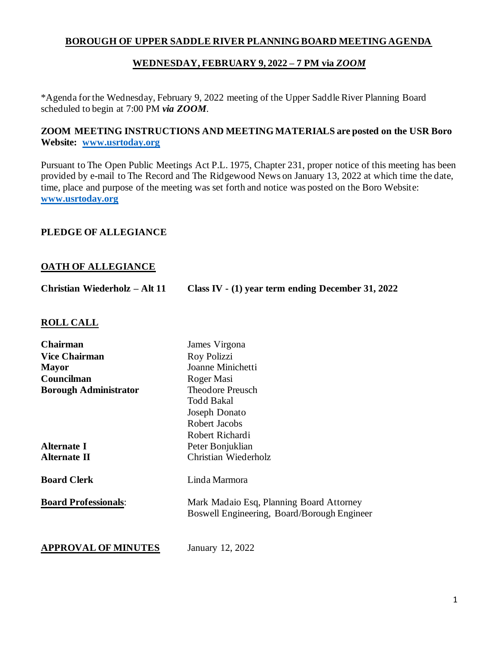# **BOROUGH OF UPPER SADDLE RIVER PLANNING BOARD MEETING AGENDA**

# **WEDNESDAY, FEBRUARY 9, 2022 – 7 PM via** *ZOOM*

\*Agenda for the Wednesday, February 9, 2022 meeting of the Upper Saddle River Planning Board scheduled to begin at 7:00 PM *via ZOOM*.

## **ZOOM MEETING INSTRUCTIONS AND MEETING MATERIALS are posted on the USR Boro Website: www.usrtoday.org**

Pursuant to The Open Public Meetings Act P.L. 1975, Chapter 231, proper notice of this meeting has been provided by e-mail to The Record and The Ridgewood News on January 13, 2022 at which time the date, time, place and purpose of the meeting was set forth and notice was posted on the Boro Website: **www.usrtoday.org**

## **PLEDGE OF ALLEGIANCE**

## **OATH OF ALLEGIANCE**

| Christian Wiederholz – Alt 11 | Class IV - (1) year term ending December 31, 2022 |
|-------------------------------|---------------------------------------------------|
|                               |                                                   |

#### **ROLL CALL**

| <b>Chairman</b>              | James Virgona                                                                           |
|------------------------------|-----------------------------------------------------------------------------------------|
| <b>Vice Chairman</b>         | Roy Polizzi                                                                             |
| Mayor                        | Joanne Minichetti                                                                       |
| Councilman                   | Roger Masi                                                                              |
| <b>Borough Administrator</b> | <b>Theodore Preusch</b>                                                                 |
|                              | <b>Todd Bakal</b>                                                                       |
|                              | Joseph Donato                                                                           |
|                              | Robert Jacobs                                                                           |
|                              | Robert Richardi                                                                         |
| Alternate I                  | Peter Bonjuklian                                                                        |
| Alternate II                 | Christian Wiederholz                                                                    |
| <b>Board Clerk</b>           | Linda Marmora                                                                           |
| <b>Board Professionals:</b>  | Mark Madaio Esq, Planning Board Attorney<br>Boswell Engineering, Board/Borough Engineer |
|                              |                                                                                         |
|                              |                                                                                         |

**APPROVAL OF MINUTES** January 12, 2022